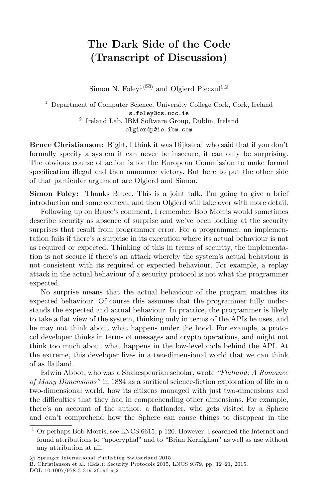## **The Dark Side of the Code (Transcript of Discussion)**

Simon N. Foley<sup>1( $\boxtimes$ )</sup> and Olgierd Pieczul<sup>1,2</sup>

<sup>1</sup> Department of Computer Science, University College Cork, Cork, Ireland s.foley@cs.ucc.ie <sup>2</sup> Ireland Lab, IBM Software Group, Dublin, Ireland olgierdp@ie.ibm.com

**Bruce Christianson:** Right, I think it was Dijkstra<sup>[1](#page-0-0)</sup> who said that if you don't formally specify a system it can never be insecure, it can only be surprising. The obvious course of action is for the European Commission to make formal specification illegal and then announce victory. But here to put the other side of that particular argument are Olgierd and Simon.

**Simon Foley:** Thanks Bruce. This is a joint talk. I'm going to give a brief introduction and some context, and then Olgierd will take over with more detail.

Following up on Bruce's comment, I remember Bob Morris would sometimes describe security as absence of surprise and we've been looking at the security surprises that result from programmer error. For a programmer, an implementation fails if there's a surprise in its execution where its actual behaviour is not as required or expected. Thinking of this in terms of security, the implementation is not secure if there's an attack whereby the system's actual behaviour is not consistent with its required or expected behaviour. For example, a replay attack in the actual behaviour of a security protocol is not what the programmer expected.

No surprise means that the actual behaviour of the program matches its expected behaviour. Of course this assumes that the programmer fully understands the expected and actual behaviour. In practice, the programmer is likely to take a flat view of the system, thinking only in terms of the APIs he uses, and he may not think about what happens under the hood. For example, a protocol developer thinks in terms of messages and crypto operations, and might not think too much about what happens in the low-level code behind the API. At the extreme, this developer lives in a two-dimensional world that we can think of as flatland.

Edwin Abbot, who was a Shakespearian scholar, wrote *"Flatland: A Romance of Many Dimensions"* in 1884 as a saritical science-fiction exploration of life in a two-dimensional world, how its citizens managed with just two-dimensions and the difficulties that they had in comprehending other dimensions. For example, there's an account of the author, a flatlander, who gets visited by a Sphere and can't comprehend how the Sphere can cause things to disappear in the

<span id="page-0-0"></span><sup>1</sup> Or perhaps Bob Morris, see LNCS 6615, p 120. However, I searched the Internet and found attributions to "apocryphal" and to "Brian Kernighan" as well as use without any attribution at all.

<sup>-</sup>c Springer International Publishing Switzerland 2015

B. Christianson et al. (Eds.): Security Protocols 2015, LNCS 9379, pp. 12–21, 2015.

DOI: 10.1007/978-3-319-26096-9 2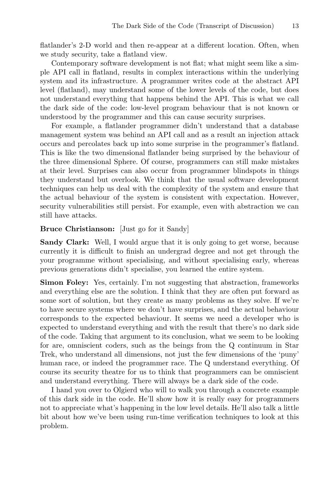flatlander's 2-D world and then re-appear at a different location. Often, when we study security, take a flatland view.

Contemporary software development is not flat; what might seem like a simple API call in flatland, results in complex interactions within the underlying system and its infrastructure. A programmer writes code at the abstract API level (flatland), may understand some of the lower levels of the code, but does not understand everything that happens behind the API. This is what we call the dark side of the code: low-level program behaviour that is not known or understood by the programmer and this can cause security surprises.

For example, a flatlander programmer didn't understand that a database management system was behind an API call and as a result an injection attack occurs and percolates back up into some surprise in the programmer's flatland. This is like the two dimensional flatlander being surprised by the behaviour of the three dimensional Sphere. Of course, programmers can still make mistakes at their level. Surprises can also occur from programmer blindspots in things they understand but overlook. We think that the usual software development techniques can help us deal with the complexity of the system and ensure that the actual behaviour of the system is consistent with expectation. However, security vulnerabilities still persist. For example, even with abstraction we can still have attacks.

## **Bruce Christianson:** [Just go for it Sandy]

**Sandy Clark:** Well, I would argue that it is only going to get worse, because currently it is difficult to finish an undergrad degree and not get through the your programme without specialising, and without specialising early, whereas previous generations didn't specialise, you learned the entire system.

**Simon Foley:** Yes, certainly. I'm not suggesting that abstraction, frameworks and everything else are the solution. I think that they are often put forward as some sort of solution, but they create as many problems as they solve. If we're to have secure systems where we don't have surprises, and the actual behaviour corresponds to the expected behaviour. It seems we need a developer who is expected to understand everything and with the result that there's no dark side of the code. Taking that argument to its conclusion, what we seem to be looking for are, omniscient coders, such as the beings from the Q continuum in Star Trek, who understand all dimensions, not just the few dimensions of the 'puny' human race, or indeed the programmer race. The Q understand everything. Of course its security theatre for us to think that programmers can be omniscient and understand everything. There will always be a dark side of the code.

I hand you over to Olgierd who will to walk you through a concrete example of this dark side in the code. He'll show how it is really easy for programmers not to appreciate what's happening in the low level details. He'll also talk a little bit about how we've been using run-time verification techniques to look at this problem.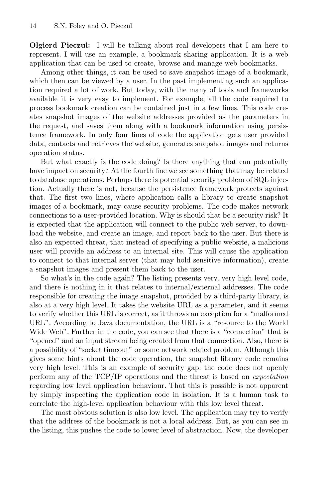**Olgierd Pieczul:** I will be talking about real developers that I am here to represent. I will use an example, a bookmark sharing application. It is a web application that can be used to create, browse and manage web bookmarks.

Among other things, it can be used to save snapshot image of a bookmark, which then can be viewed by a user. In the past implementing such an application required a lot of work. But today, with the many of tools and frameworks available it is very easy to implement. For example, all the code required to process bookmark creation can be contained just in a few lines. This code creates snapshot images of the website addresses provided as the parameters in the request, and saves them along with a bookmark information using persistence framework. In only four lines of code the application gets user provided data, contacts and retrieves the website, generates snapshot images and returns operation status.

But what exactly is the code doing? Is there anything that can potentially have impact on security? At the fourth line we see something that may be related to database operations. Perhaps there is potential security problem of SQL injection. Actually there is not, because the persistence framework protects against that. The first two lines, where application calls a library to create snapshot images of a bookmark, may cause security problems. The code makes network connections to a user-provided location. Why is should that be a security risk? It is expected that the application will connect to the public web server, to download the website, and create an image, and report back to the user. But there is also an expected threat, that instead of specifying a public website, a malicious user will provide an address to an internal site. This will cause the application to connect to that internal server (that may hold sensitive information), create a snapshot images and present them back to the user.

So what's in the code again? The listing presents very, very high level code, and there is nothing in it that relates to internal/external addresses. The code responsible for creating the image snapshot, provided by a third-party library, is also at a very high level. It takes the website URL as a parameter, and it seems to verify whether this URL is correct, as it throws an exception for a "malformed URL". According to Java documentation, the URL is a "resource to the World Wide Web". Further in the code, you can see that there is a "connection" that is "opened" and an input stream being created from that connection. Also, there is a possibility of "socket timeout" or some network related problem. Although this gives some hints about the code operation, the snapshot library code remains very high level. This is an example of security gap: the code does not openly perform any of the TCP/IP operations and the threat is based on *expectation* regarding low level application behaviour. That this is possible is not apparent by simply inspecting the application code in isolation. It is a human task to correlate the high-level application behaviour with this low level threat.

The most obvious solution is also low level. The application may try to verify that the address of the bookmark is not a local address. But, as you can see in the listing, this pushes the code to lower level of abstraction. Now, the developer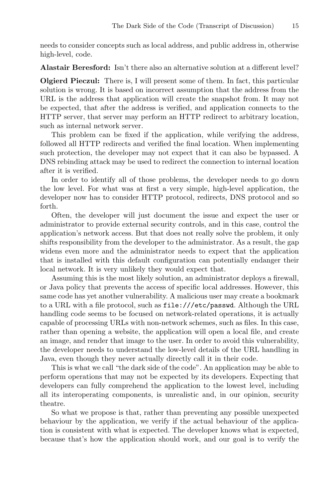needs to consider concepts such as local address, and public address in, otherwise high-level, code.

**Alastair Beresford:** Isn't there also an alternative solution at a different level?

**Olgierd Pieczul:** There is, I will present some of them. In fact, this particular solution is wrong. It is based on incorrect assumption that the address from the URL is the address that application will create the snapshot from. It may not be expected, that after the address is verified, and application connects to the HTTP server, that server may perform an HTTP redirect to arbitrary location, such as internal network server.

This problem can be fixed if the application, while verifying the address, followed all HTTP redirects and verified the final location. When implementing such protection, the developer may not expect that it can also be bypassed. A DNS rebinding attack may be used to redirect the connection to internal location after it is verified.

In order to identify all of those problems, the developer needs to go down the low level. For what was at first a very simple, high-level application, the developer now has to consider HTTP protocol, redirects, DNS protocol and so forth.

Often, the developer will just document the issue and expect the user or administrator to provide external security controls, and in this case, control the application's network access. But that does not really solve the problem, it only shifts responsibility from the developer to the administrator. As a result, the gap widens even more and the administrator needs to expect that the application that is installed with this default configuration can potentially endanger their local network. It is very unlikely they would expect that.

Assuming this is the most likely solution, an administrator deploys a firewall, or Java policy that prevents the access of specific local addresses. However, this same code has yet another vulnerability. A malicious user may create a bookmark to a URL with a file protocol, such as file:///etc/passwd. Although the URL handling code seems to be focused on network-related operations, it is actually capable of processing URLs with non-network schemes, such as files. In this case, rather than opening a website, the application will open a local file, and create an image, and render that image to the user. In order to avoid this vulnerability, the developer needs to understand the low-level details of the URL handling in Java, even though they never actually directly call it in their code.

This is what we call "the dark side of the code". An application may be able to perform operations that may not be expected by its developers. Expecting that developers can fully comprehend the application to the lowest level, including all its interoperating components, is unrealistic and, in our opinion, security theatre.

So what we propose is that, rather than preventing any possible unexpected behaviour by the application, we verify if the actual behaviour of the application is consistent with what is expected. The developer knows what is expected, because that's how the application should work, and our goal is to verify the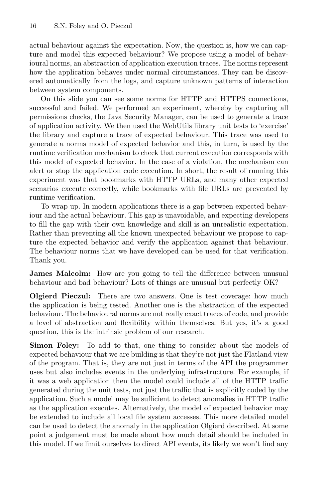actual behaviour against the expectation. Now, the question is, how we can capture and model this expected behaviour? We propose using a model of behavioural norms, an abstraction of application execution traces. The norms represent how the application behaves under normal circumstances. They can be discovered automatically from the logs, and capture unknown patterns of interaction between system components.

On this slide you can see some norms for HTTP and HTTPS connections, successful and failed. We performed an experiment, whereby by capturing all permissions checks, the Java Security Manager, can be used to generate a trace of application activity. We then used the WebUtils library unit tests to 'exercise' the library and capture a trace of expected behaviour. This trace was used to generate a norms model of expected behavior and this, in turn, is used by the runtime verification mechanism to check that current execution corresponds with this model of expected behavior. In the case of a violation, the mechanism can alert or stop the application code execution. In short, the result of running this experiment was that bookmarks with HTTP URLs, and many other expected scenarios execute correctly, while bookmarks with file URLs are prevented by runtime verification.

To wrap up. In modern applications there is a gap between expected behaviour and the actual behaviour. This gap is unavoidable, and expecting developers to fill the gap with their own knowledge and skill is an unrealistic expectation. Rather than preventing all the known unexpected behaviour we propose to capture the expected behavior and verify the application against that behaviour. The behaviour norms that we have developed can be used for that verification. Thank you.

**James Malcolm:** How are you going to tell the difference between unusual behaviour and bad behaviour? Lots of things are unusual but perfectly OK?

**Olgierd Pieczul:** There are two answers. One is test coverage: how much the application is being tested. Another one is the abstraction of the expected behaviour. The behavioural norms are not really exact traces of code, and provide a level of abstraction and flexibility within themselves. But yes, it's a good question, this is the intrinsic problem of our research.

**Simon Foley:** To add to that, one thing to consider about the models of expected behaviour that we are building is that they're not just the Flatland view of the program. That is, they are not just in terms of the API the programmer uses but also includes events in the underlying infrastructure. For example, if it was a web application then the model could include all of the HTTP traffic generated during the unit tests, not just the traffic that is explicitly coded by the application. Such a model may be sufficient to detect anomalies in HTTP traffic as the application executes. Alternatively, the model of expected behavior may be extended to include all local file system accesses. This more detailed model can be used to detect the anomaly in the application Olgierd described. At some point a judgement must be made about how much detail should be included in this model. If we limit ourselves to direct API events, its likely we won't find any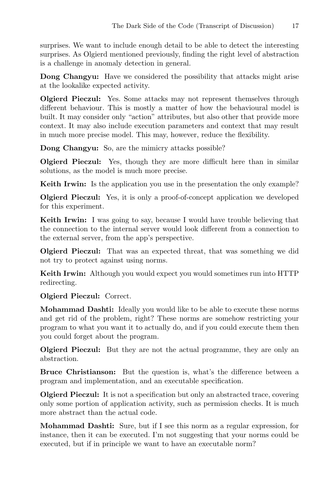surprises. We want to include enough detail to be able to detect the interesting surprises. As Olgierd mentioned previously, finding the right level of abstraction is a challenge in anomaly detection in general.

**Dong Changyu:** Have we considered the possibility that attacks might arise at the lookalike expected activity.

**Olgierd Pieczul:** Yes. Some attacks may not represent themselves through different behaviour. This is mostly a matter of how the behavioural model is built. It may consider only "action" attributes, but also other that provide more context. It may also include execution parameters and context that may result in much more precise model. This may, however, reduce the flexibility.

**Dong Changyu:** So, are the mimicry attacks possible?

**Olgierd Pieczul:** Yes, though they are more difficult here than in similar solutions, as the model is much more precise.

**Keith Irwin:** Is the application you use in the presentation the only example?

**Olgierd Pieczul:** Yes, it is only a proof-of-concept application we developed for this experiment.

**Keith Irwin:** I was going to say, because I would have trouble believing that the connection to the internal server would look different from a connection to the external server, from the app's perspective.

**Olgierd Pieczul:** That was an expected threat, that was something we did not try to protect against using norms.

**Keith Irwin:** Although you would expect you would sometimes run into HTTP redirecting.

**Olgierd Pieczul:** Correct.

**Mohammad Dashti:** Ideally you would like to be able to execute these norms and get rid of the problem, right? These norms are somehow restricting your program to what you want it to actually do, and if you could execute them then you could forget about the program.

**Olgierd Pieczul:** But they are not the actual programme, they are only an abstraction.

**Bruce Christianson:** But the question is, what's the difference between a program and implementation, and an executable specification.

**Olgierd Pieczul:** It is not a specification but only an abstracted trace, covering only some portion of application activity, such as permission checks. It is much more abstract than the actual code.

**Mohammad Dashti:** Sure, but if I see this norm as a regular expression, for instance, then it can be executed. I'm not suggesting that your norms could be executed, but if in principle we want to have an executable norm?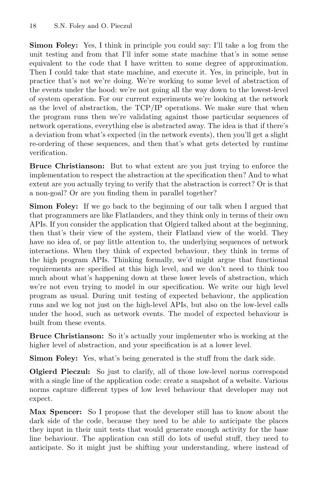**Simon Foley:** Yes, I think in principle you could say: I'll take a log from the unit testing and from that I'll infer some state machine that's in some sense equivalent to the code that I have written to some degree of approximation. Then I could take that state machine, and execute it. Yes, in principle, but in practice that's not we're doing. We're working to some level of abstraction of the events under the hood: we're not going all the way down to the lowest-level of system operation. For our current experiments we're looking at the network as the level of abstraction, the TCP/IP operations. We make sure that when the program runs then we're validating against those particular sequences of network operations, everything else is abstracted away. The idea is that if there's a deviation from what's expected (in the network events), then you'll get a slight re-ordering of these sequences, and then that's what gets detected by runtime verification.

**Bruce Christianson:** But to what extent are you just trying to enforce the implementation to respect the abstraction at the specification then? And to what extent are you actually trying to verify that the abstraction is correct? Or is that a non-goal? Or are you finding them in parallel together?

**Simon Foley:** If we go back to the beginning of our talk when I argued that that programmers are like Flatlanders, and they think only in terms of their own APIs. If you consider the application that Olgierd talked about at the beginning, then that's their view of the system, their Flatland view of the world. They have no idea of, or pay little attention to, the underlying sequences of network interactions. When they think of expected behaviour, they think in terms of the high program APIs. Thinking formally, we'd might argue that functional requirements are specified at this high level, and we don't need to think too much about what's happening down at these lower levels of abstraction, which we're not even trying to model in our specification. We write our high level program as usual. During unit testing of expected behaviour, the application runs and we log not just on the high-level APIs, but also on the low-level calls under the hood, such as network events. The model of expected behaviour is built from these events.

**Bruce Christianson:** So it's actually your implementer who is working at the higher level of abstraction, and your specification is at a lower level.

**Simon Foley:** Yes, what's being generated is the stuff from the dark side.

**Olgierd Pieczul:** So just to clarify, all of those low-level norms correspond with a single line of the application code: create a snapshot of a website. Various norms capture different types of low level behaviour that developer may not expect.

**Max Spencer:** So I propose that the developer still has to know about the dark side of the code, because they need to be able to anticipate the places they input in their unit tests that would generate enough activity for the base line behaviour. The application can still do lots of useful stuff, they need to anticipate. So it might just be shifting your understanding, where instead of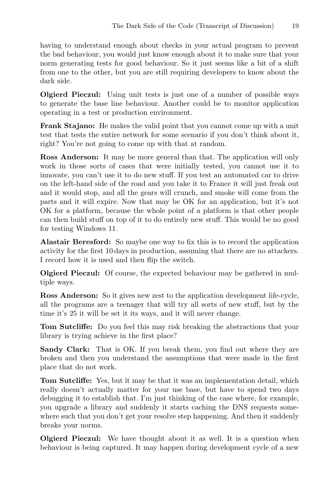having to understand enough about checks in your actual program to prevent the bad behaviour, you would just know enough about it to make sure that your norm generating tests for good behaviour. So it just seems like a bit of a shift from one to the other, but you are still requiring developers to know about the dark side.

**Olgierd Pieczul:** Using unit tests is just one of a number of possible ways to generate the base line behaviour. Another could be to monitor application operating in a test or production environment.

**Frank Stajano:** He makes the valid point that you cannot come up with a unit test that tests the entire network for some scenario if you don't think about it, right? You're not going to come up with that at random.

**Ross Anderson:** It may be more general than that. The application will only work in those sorts of cases that were initially tested, you cannot use it to innovate, you can't use it to do new stuff. If you test an automated car to drive on the left-hand side of the road and you take it to France it will just freak out and it would stop, and all the gears will crunch, and smoke will come from the parts and it will expire. Now that may be OK for an application, but it's not OK for a platform, because the whole point of a platform is that other people can then build stuff on top of it to do entirely new stuff. This would be no good for testing Windows 11.

**Alastair Beresford:** So maybe one way to fix this is to record the application activity for the first 10 days in production, assuming that there are no attackers. I record how it is used and then flip the switch.

**Olgierd Pieczul:** Of course, the expected behaviour may be gathered in multiple ways.

**Ross Anderson:** So it gives new zest to the application development life-cycle, all the programs are a teenager that will try all sorts of new stuff, but by the time it's 25 it will be set it its ways, and it will never change.

**Tom Sutcliffe:** Do you feel this may risk breaking the abstractions that your library is trying achieve in the first place?

**Sandy Clark:** That is OK. If you break them, you find out where they are broken and then you understand the assumptions that were made in the first place that do not work.

**Tom Sutcliffe:** Yes, but it may be that it was an implementation detail, which really doesn't actually matter for your use base, but have to spend two days debugging it to establish that. I'm just thinking of the case where, for example, you upgrade a library and suddenly it starts caching the DNS requests somewhere such that you don't get your resolve step happening. And then it suddenly breaks your norms.

**Olgierd Pieczul:** We have thought about it as well. It is a question when behaviour is being captured. It may happen during development cycle of a new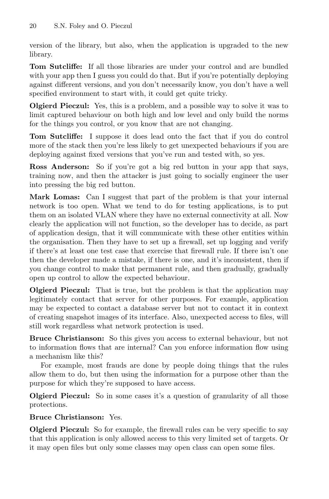version of the library, but also, when the application is upgraded to the new library.

**Tom Sutcliffe:** If all those libraries are under your control and are bundled with your app then I guess you could do that. But if you're potentially deploying against different versions, and you don't necessarily know, you don't have a well specified environment to start with, it could get quite tricky.

**Olgierd Pieczul:** Yes, this is a problem, and a possible way to solve it was to limit captured behaviour on both high and low level and only build the norms for the things you control, or you know that are not changing.

**Tom Sutcliffe:** I suppose it does lead onto the fact that if you do control more of the stack then you're less likely to get unexpected behaviours if you are deploying against fixed versions that you've run and tested with, so yes.

**Ross Anderson:** So if you're got a big red button in your app that says, training now, and then the attacker is just going to socially engineer the user into pressing the big red button.

**Mark Lomas:** Can I suggest that part of the problem is that your internal network is too open. What we tend to do for testing applications, is to put them on an isolated VLAN where they have no external connectivity at all. Now clearly the application will not function, so the developer has to decide, as part of application design, that it will communicate with these other entities within the organisation. Then they have to set up a firewall, set up logging and verify if there's at least one test case that exercise that firewall rule. If there isn't one then the developer made a mistake, if there is one, and it's inconsistent, then if you change control to make that permanent rule, and then gradually, gradually open up control to allow the expected behaviour.

**Olgierd Pieczul:** That is true, but the problem is that the application may legitimately contact that server for other purposes. For example, application may be expected to contact a database server but not to contact it in context of creating snapshot images of its interface. Also, unexpected access to files, will still work regardless what network protection is used.

**Bruce Christianson:** So this gives you access to external behaviour, but not to information flows that are internal? Can you enforce information flow using a mechanism like this?

For example, most frauds are done by people doing things that the rules allow them to do, but then using the information for a purpose other than the purpose for which they're supposed to have access.

**Olgierd Pieczul:** So in some cases it's a question of granularity of all those protections.

## **Bruce Christianson:** Yes.

**Olgierd Pieczul:** So for example, the firewall rules can be very specific to say that this application is only allowed access to this very limited set of targets. Or it may open files but only some classes may open class can open some files.